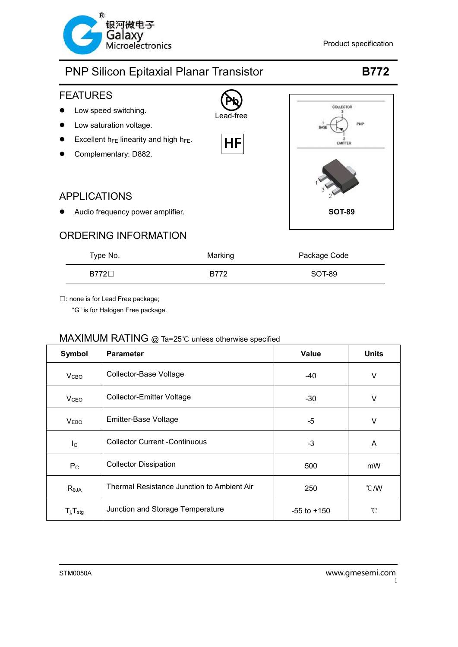



| Type No.   | Marking | Package Code |
|------------|---------|--------------|
| $B772\Box$ | B772    | SOT-89       |

□: none is for Lead Free package;

"G" is for Halogen Free package.

| Symbol                     | <b>Parameter</b>                           | <b>Value</b>    | <b>Units</b>   |
|----------------------------|--------------------------------------------|-----------------|----------------|
| V <sub>CBO</sub>           | Collector-Base Voltage                     | -40             | V              |
| <b>V</b> <sub>CEO</sub>    | <b>Collector-Emitter Voltage</b>           | -30             | V              |
| <b>VEBO</b>                | Emitter-Base Voltage                       | $-5$            | V              |
| $I_{\rm C}$                | <b>Collector Current -Continuous</b>       | -3              | A              |
| $P_{\rm C}$                | <b>Collector Dissipation</b>               | 500             | mW             |
| $R_{\theta$ JA             | Thermal Resistance Junction to Ambient Air | 250             | $^{\circ}$ C/W |
| $T_{j}$ , $T_{\text{stg}}$ | Junction and Storage Temperature           | $-55$ to $+150$ | °C             |

### MAXIMUM RATING @ Ta=25℃ unless otherwise specified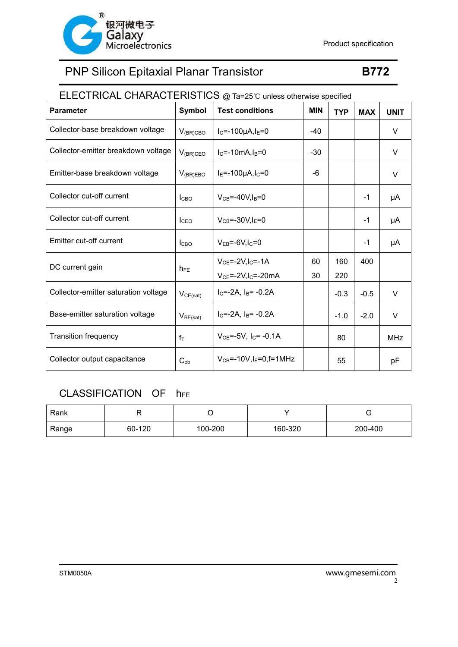

## ELECTRICAL CHARACTERISTICS @ Ta=25℃ unless otherwise specified

| <b>Parameter</b>                     | Symbol           | <b>Test conditions</b>               | <b>MIN</b> | <b>TYP</b> | <b>MAX</b> | <b>UNIT</b> |
|--------------------------------------|------------------|--------------------------------------|------------|------------|------------|-------------|
| Collector-base breakdown voltage     | $V_{(BR)CBO}$    | $I_C = -100 \mu A, I_E = 0$          | $-40$      |            |            | V           |
| Collector-emitter breakdown voltage  | $V_{(BR)CEO}$    | $I_C = -10mA, I_B = 0$               | -30        |            |            | V           |
| Emitter-base breakdown voltage       | $V_{(BR)EBO}$    | $I_E = -100 \mu A, I_C = 0$          | -6         |            |            | V           |
| Collector cut-off current            | I <sub>CBO</sub> | $V_{CB} = -40V I_B = 0$              |            |            | $-1$       | μA          |
| Collector cut-off current            | <b>I</b> CEO     | $V_{CB} = -30V$ , $I_E = 0$          |            |            | $-1$       | μA          |
| Emitter cut-off current              | <b>LEBO</b>      | $V_{EB} = -6V I_C = 0$               |            |            | $-1$       | μA          |
| DC current gain                      |                  | $VCE=-2V, IC=-1A$                    | 60         | 160        | 400        |             |
|                                      | $h_{FE}$         | $VCE=-2V, IC=-20mA$                  | 30         | 220        |            |             |
| Collector-emitter saturation voltage | $V_{CE(sat)}$    | $IC=-2A$ , $IB=-0.2A$                |            | $-0.3$     | $-0.5$     | V           |
| Base-emitter saturation voltage      | $V_{BE(sat)}$    | $IC=-2A$ , $IB=-0.2A$                |            | $-1.0$     | $-2.0$     | V           |
| <b>Transition frequency</b>          | $f_T$            | $V_{CE} = -5V$ , $I_C = -0.1A$       |            | 80         |            | <b>MHz</b>  |
| Collector output capacitance         | $C_{ob}$         | $V_{CB} = -10V$ , $I_E = 0$ , f=1MHz |            | 55         |            | pF          |

### CLASSIFICATION OF hFE

| Rank  |        |         |         |         |
|-------|--------|---------|---------|---------|
| Range | 60-120 | 100-200 | 160-320 | 200-400 |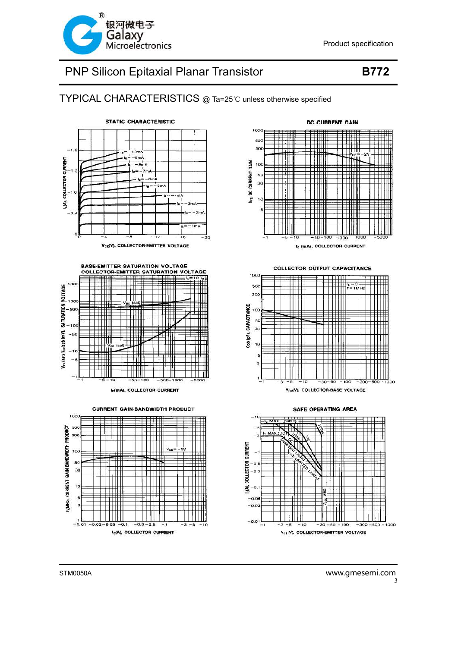

### TYPICAL CHARACTERISTICS @ Ta=25℃ unless otherwise specified





I<sub>C</sub>(mA), COLLECTOR CURRENT

**CURRENT GAIN-BANDWIDTH PRODUCT** 







SAFE OPERATING AREA